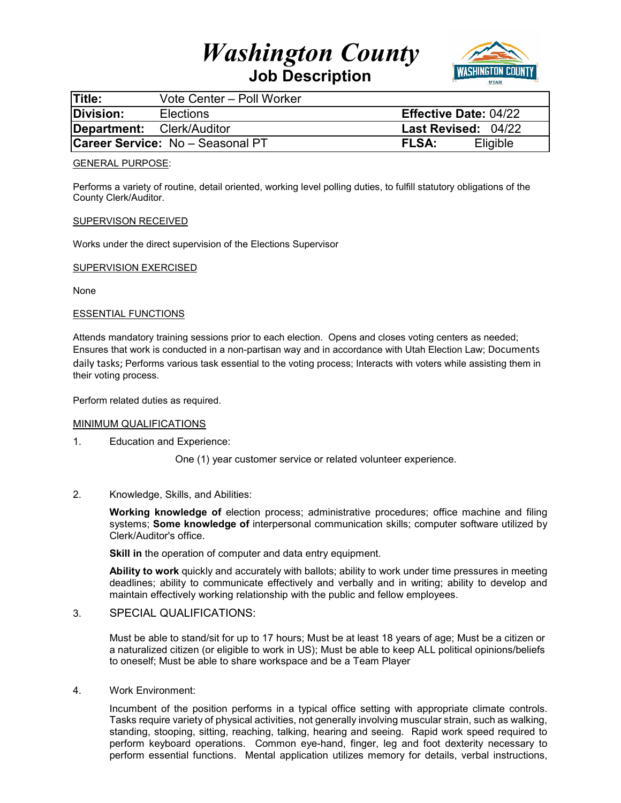# *Washington County*



**Job Description** 

| <b>Title:</b>                           | Vote Center - Poll Worker |                              |
|-----------------------------------------|---------------------------|------------------------------|
| Division:                               | <b>Elections</b>          | <b>Effective Date: 04/22</b> |
| Department: Clerk/Auditor               |                           | <b>Last Revised: 04/22</b>   |
| <b>Career Service: No - Seasonal PT</b> |                           | <b>FLSA:</b><br>Eligible     |

#### GENERAL PURPOSE:

Performs a variety of routine, detail oriented, working level polling duties, to fulfill statutory obligations of the County Clerk/Auditor.

### SUPERVISON RECEIVED

Works under the direct supervision of the Elections Supervisor

### SUPERVISION EXERCISED

None

### ESSENTIAL FUNCTIONS

Attends mandatory training sessions prior to each election. Opens and closes voting centers as needed; Ensures that work is conducted in a non-partisan way and in accordance with Utah Election Law; Documents daily tasks; Performs various task essential to the voting process; Interacts with voters while assisting them in their voting process.

Perform related duties as required.

#### MINIMUM QUALIFICATIONS

1. Education and Experience:

One (1) year customer service or related volunteer experience.

2. Knowledge, Skills, and Abilities:

**Working knowledge of** election process; administrative procedures; office machine and filing systems; **Some knowledge of** interpersonal communication skills; computer software utilized by Clerk/Auditor's office.

**Skill in** the operation of computer and data entry equipment.

**Ability to work** quickly and accurately with ballots; ability to work under time pressures in meeting deadlines; ability to communicate effectively and verbally and in writing; ability to develop and maintain effectively working relationship with the public and fellow employees.

## 3. SPECIAL QUALIFICATIONS:

Must be able to stand/sit for up to 17 hours; Must be at least 18 years of age; Must be a citizen or a naturalized citizen (or eligible to work in US); Must be able to keep ALL political opinions/beliefs to oneself; Must be able to share workspace and be a Team Player

4. Work Environment:

Incumbent of the position performs in a typical office setting with appropriate climate controls. Tasks require variety of physical activities, not generally involving muscular strain, such as walking, standing, stooping, sitting, reaching, talking, hearing and seeing. Rapid work speed required to perform keyboard operations. Common eye-hand, finger, leg and foot dexterity necessary to perform essential functions. Mental application utilizes memory for details, verbal instructions,